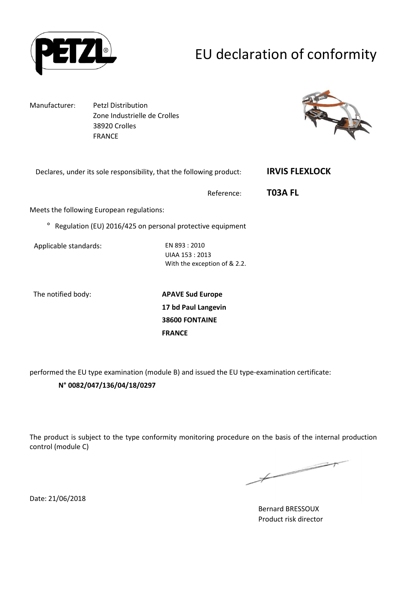

## EU declaration of conformity

Manufacturer: Petzl Distribution Zone Industrielle de Crolles 38920 Crolles FRANCE



|                                           | Declares, under its sole responsibility, that the following product: | <b>IRVIS FLEXLOCK</b> |  |
|-------------------------------------------|----------------------------------------------------------------------|-----------------------|--|
|                                           | Reference:                                                           | T03A FL               |  |
| Meets the following European regulations: |                                                                      |                       |  |
| $\circ$                                   | Regulation (EU) 2016/425 on personal protective equipment            |                       |  |
| Applicable standards:                     | EN 893:2010<br>UIAA 153: 2013<br>With the exception of & 2.2.        |                       |  |
| The notified body:                        | <b>APAVE Sud Europe</b>                                              |                       |  |

**17 bd Paul Langevin 38600 FONTAINE FRANCE**

performed the EU type examination (module B) and issued the EU type-examination certificate:

### **N° 0082/047/136/04/18/0297**

The product is subject to the type conformity monitoring procedure on the basis of the internal production control (module C)

 $\overbrace{\phantom{aaaaa}}$ 

Date: 21/06/2018

Bernard BRESSOUX Product risk director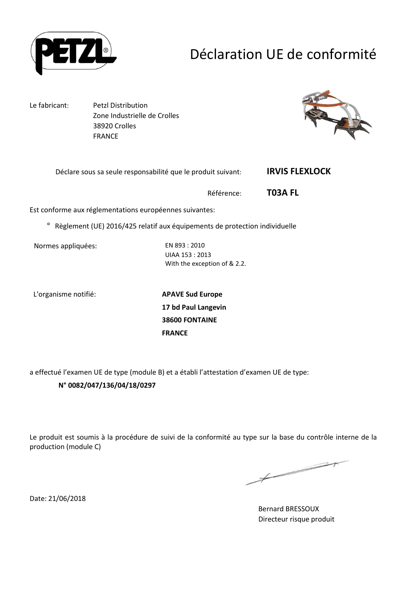

## Déclaration UE de conformité

Le fabricant: Petzl Distribution Zone Industrielle de Crolles 38920 Crolles FRANCE



Déclare sous sa seule responsabilité que le produit suivant: **IRVIS FLEXLOCK** 

Référence: **T03A FL**

Est conforme aux réglementations européennes suivantes:

° Règlement (UE) 2016/425 relatif aux équipements de protection individuelle

Normes appliquées: EN 893 : 2010

UIAA 153 : 2013 With the exception of & 2.2.

L'organisme notifié: **APAVE Sud Europe**

**17 bd Paul Langevin 38600 FONTAINE FRANCE**

a effectué l'examen UE de type (module B) et a établi l'attestation d'examen UE de type:

### **N° 0082/047/136/04/18/0297**

Le produit est soumis à la procédure de suivi de la conformité au type sur la base du contrôle interne de la production (module C)

 $\overbrace{\phantom{aaaaa}}$ 

Bernard BRESSOUX Directeur risque produit

Date: 21/06/2018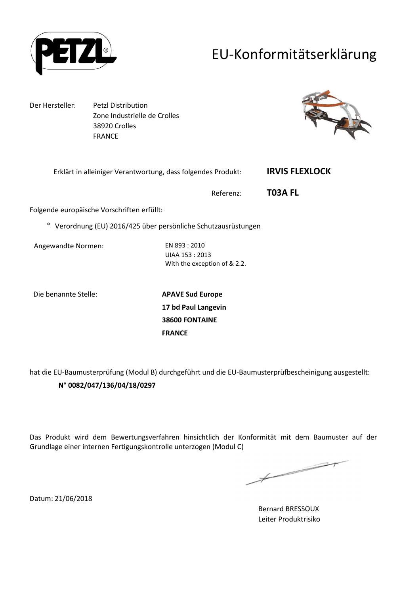

## EU-Konformitätserklärung

Der Hersteller: Petzl Distribution Zone Industrielle de Crolles 38920 Crolles FRANCE



| Erklärt in alleiniger Verantwortung, dass folgendes Produkt:            |                                                                | <b>IRVIS FLEXLOCK</b> |
|-------------------------------------------------------------------------|----------------------------------------------------------------|-----------------------|
|                                                                         | Referenz:                                                      | T03A FL               |
| Folgende europäische Vorschriften erfüllt:                              |                                                                |                       |
| $\circ$<br>Verordnung (EU) 2016/425 über persönliche Schutzausrüstungen |                                                                |                       |
| Angewandte Normen:                                                      | EN 893:2010<br>UIAA 153 : 2013<br>With the exception of & 2.2. |                       |

Die benannte Stelle: **APAVE Sud Europe**

**17 bd Paul Langevin 38600 FONTAINE FRANCE**

hat die EU-Baumusterprüfung (Modul B) durchgeführt und die EU-Baumusterprüfbescheinigung ausgestellt:

**N° 0082/047/136/04/18/0297**

Das Produkt wird dem Bewertungsverfahren hinsichtlich der Konformität mit dem Baumuster auf der Grundlage einer internen Fertigungskontrolle unterzogen (Modul C)

 $\overbrace{\hspace{2.5cm}}^{+}$ 

Bernard BRESSOUX Leiter Produktrisiko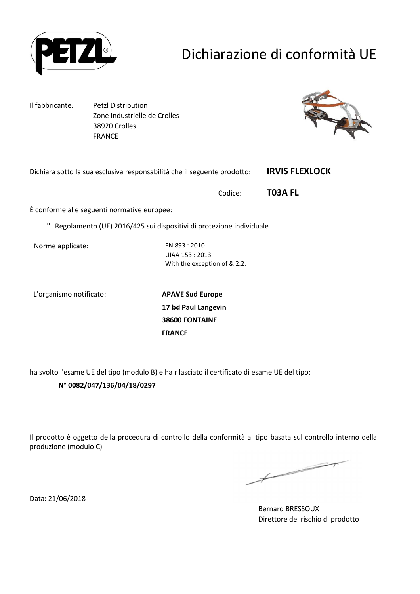

## Dichiarazione di conformità UE

Il fabbricante: Petzl Distribution Zone Industrielle de Crolles 38920 Crolles FRANCE



Dichiara sotto la sua esclusiva responsabilità che il seguente prodotto: **IRVIS FLEXLOCK** 

Codice: **T03A FL**

È conforme alle seguenti normative europee:

° Regolamento (UE) 2016/425 sui dispositivi di protezione individuale

Norme applicate: EN 893 : 2010

UIAA 153 : 2013 With the exception of & 2.2.

L'organismo notificato: **APAVE Sud Europe**

**17 bd Paul Langevin 38600 FONTAINE FRANCE**

ha svolto l'esame UE del tipo (modulo B) e ha rilasciato il certificato di esame UE del tipo:

### **N° 0082/047/136/04/18/0297**

Il prodotto è oggetto della procedura di controllo della conformità al tipo basata sul controllo interno della produzione (modulo C)

 $\overbrace{\hspace{2.5cm}}^{*}$ 

Bernard BRESSOUX Direttore del rischio di prodotto

Data: 21/06/2018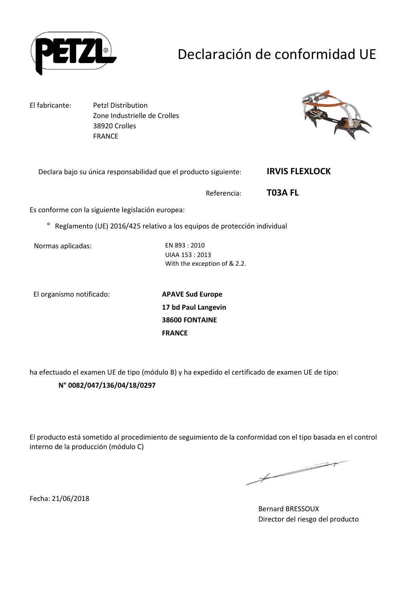

## Declaración de conformidad UE

El fabricante: Petzl Distribution

 Zone Industrielle de Crolles 38920 Crolles FRANCE



Declara bajo su única responsabilidad que el producto siguiente: **IRVIS FLEXLOCK** 

Referencia: **T03A FL**

Es conforme con la siguiente legislación europea:

° Reglamento (UE) 2016/425 relativo a los equipos de protección individual

Normas aplicadas: EN 893 : 2010

UIAA 153 : 2013 With the exception of & 2.2.

El organismo notificado: **APAVE Sud Europe**

**17 bd Paul Langevin 38600 FONTAINE FRANCE**

ha efectuado el examen UE de tipo (módulo B) y ha expedido el certificado de examen UE de tipo:

### **N° 0082/047/136/04/18/0297**

El producto está sometido al procedimiento de seguimiento de la conformidad con el tipo basada en el control interno de la producción (módulo C)

 $\overbrace{\hspace{2.5cm}}^{*}$ 

Fecha: 21/06/2018

Bernard BRESSOUX Director del riesgo del producto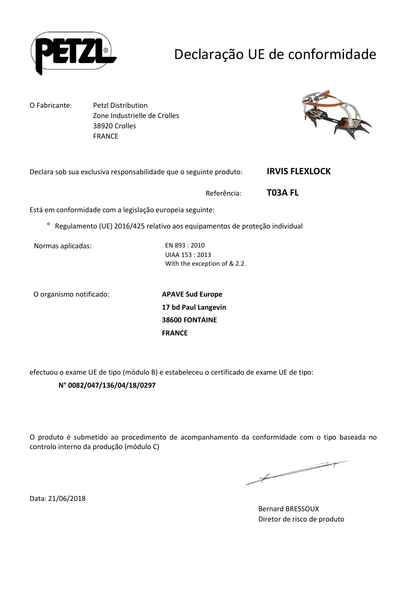

## Declaração UE de conformidade

O Fabricante: Petzl Distribution Zone Industrielle de Crolles 38920 Crolles FRANCE



Declara sob sua exclusiva responsabilidade que o seguinte produto: **IRVIS FLEXLOCK** 

Referência: **T03A FL**

Está em conformidade com a legislação europeia seguinte:

° Regulamento (UE) 2016/425 relativo aos equipamentos de proteção individual

Normas aplicadas: EN 893 : 2010

UIAA 153 : 2013 With the exception of & 2.2.

O organismo notificado: **APAVE Sud Europe**

**17 bd Paul Langevin 38600 FONTAINE FRANCE**

efectuou o exame UE de tipo (módulo B) e estabeleceu o certificado de exame UE de tipo:

### **N° 0082/047/136/04/18/0297**

O produto é submetido ao procedimento de acompanhamento da conformidade com o tipo baseada no controlo interno da produção (módulo C)

 $\overbrace{\phantom{aaaaa}}$ 

Data: 21/06/2018

Bernard BRESSOUX Diretor de risco de produto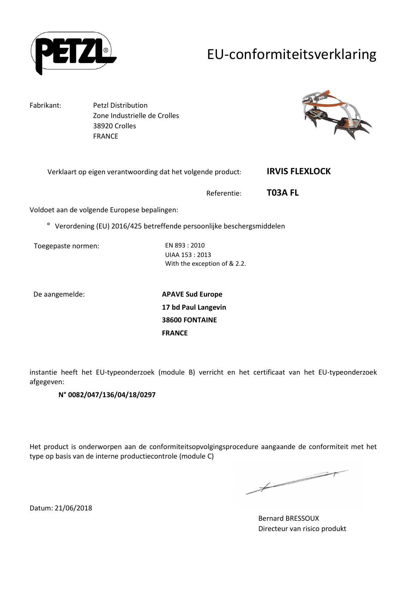

## EU-conformiteitsverklaring

Fabrikant: Petzl Distribution Zone Industrielle de Crolles 38920 Crolles FRANCE



| Verklaart op eigen verantwoording dat het volgende product: | <b>IRVIS FLEXLOCK</b> |
|-------------------------------------------------------------|-----------------------|
|-------------------------------------------------------------|-----------------------|

Referentie: **T03A FL**

Voldoet aan de volgende Europese bepalingen:

° Verordening (EU) 2016/425 betreffende persoonlijke beschergsmiddelen

Toegepaste normen: EN 893 : 2010

UIAA 153 : 2013 With the exception of & 2.2.

De aangemelde: **APAVE Sud Europe 17 bd Paul Langevin 38600 FONTAINE FRANCE**

instantie heeft het EU-typeonderzoek (module B) verricht en het certificaat van het EU-typeonderzoek afgegeven:

### **N° 0082/047/136/04/18/0297**

Het product is onderworpen aan de conformiteitsopvolgingsprocedure aangaande de conformiteit met het type op basis van de interne productiecontrole (module C)

 $\not\!\!\!\!/-$ 

Bernard BRESSOUX Directeur van risico produkt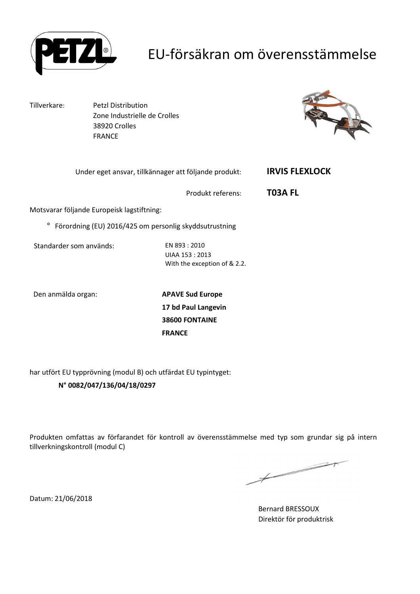

## EU-försäkran om överensstämmelse

Tillverkare: Petzl Distribution Zone Industrielle de Crolles 38920 Crolles FRANCE



|                                            | Under eget ansvar, tillkännager att följande produkt:            | <b>IRVIS FLEXLOCK</b> |
|--------------------------------------------|------------------------------------------------------------------|-----------------------|
|                                            | Produkt referens:                                                | T03A FL               |
| Motsvarar följande Europeisk lagstiftning: |                                                                  |                       |
| $\circ$                                    | Förordning (EU) 2016/425 om personlig skyddsutrustning           |                       |
| Standarder som används:                    | EN 893 : 2010<br>UIAA 153 : 2013<br>With the exception of & 2.2. |                       |
| Den anmälda organ:                         | <b>APAVE Sud Europe</b>                                          |                       |

**17 bd Paul Langevin 38600 FONTAINE FRANCE**

har utfört EU typprövning (modul B) och utfärdat EU typintyget:

### **N° 0082/047/136/04/18/0297**

Produkten omfattas av förfarandet för kontroll av överensstämmelse med typ som grundar sig på intern tillverkningskontroll (modul C)

 $\overbrace{\phantom{aaaaa}}$ 

Bernard BRESSOUX Direktör för produktrisk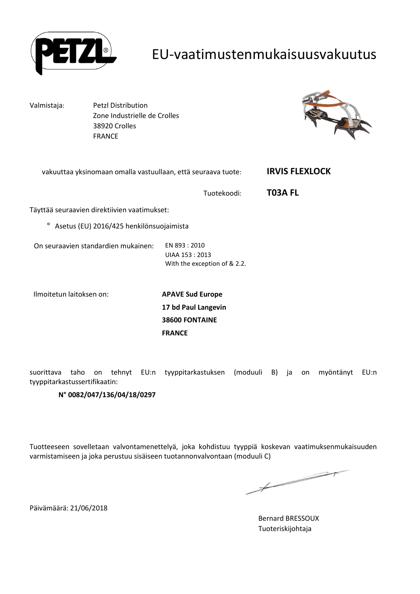

## EU-vaatimustenmukaisuusvakuutus

Valmistaja: Petzl Distribution Zone Industrielle de Crolles 38920 Crolles FRANCE



| vakuuttaa yksinomaan omalla vastuullaan, että seuraava tuote: |                                                               | <b>IRVIS FLEXLOCK</b> |
|---------------------------------------------------------------|---------------------------------------------------------------|-----------------------|
|                                                               | Tuotekoodi:                                                   | T03A FL               |
| Täyttää seuraavien direktiivien vaatimukset:                  |                                                               |                       |
| Asetus (EU) 2016/425 henkilönsuojaimista                      |                                                               |                       |
| On seuraavien standardien mukainen:                           | EN 893:2010<br>UIAA 153: 2013<br>With the exception of & 2.2. |                       |
| Ilmoitetun laitoksen on:                                      | <b>APAVE Sud Europe</b>                                       |                       |
|                                                               | 17 bd Paul Langevin                                           |                       |
|                                                               | <b>38600 FONTAINE</b>                                         |                       |

**FRANCE**

suorittava taho on tehnyt EU:n tyyppitarkastuksen (moduuli B) ja on myöntänyt EU:n tyyppitarkastussertifikaatin:

### **N° 0082/047/136/04/18/0297**

Tuotteeseen sovelletaan valvontamenettelyä, joka kohdistuu tyyppiä koskevan vaatimuksenmukaisuuden varmistamiseen ja joka perustuu sisäiseen tuotannonvalvontaan (moduuli C)

 $\not\!\!\!\!/-$ 

Päivämäärä: 21/06/2018

Bernard BRESSOUX Tuoteriskijohtaja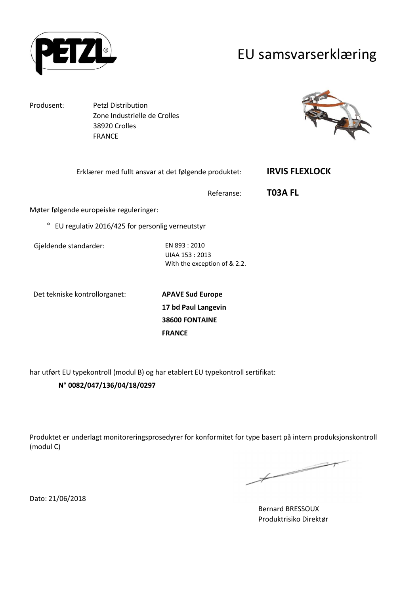

### EU samsvarserklæring

Produsent: Petzl Distribution Zone Industrielle de Crolles 38920 Crolles FRANCE



|                                                            | Erklærer med fullt ansvar at det følgende produktet:           | <b>IRVIS FLEXLOCK</b> |
|------------------------------------------------------------|----------------------------------------------------------------|-----------------------|
|                                                            | Referanse:                                                     | T03A FL               |
| Møter følgende europeiske reguleringer:                    |                                                                |                       |
| $\circ$<br>EU regulativ 2016/425 for personlig verneutstyr |                                                                |                       |
| Gjeldende standarder:                                      | EN 893:2010<br>UIAA 153 : 2013<br>With the exception of & 2.2. |                       |
| Det tekniske kontrollorganet:                              | <b>APAVE Sud Europe</b>                                        |                       |

**17 bd Paul Langevin 38600 FONTAINE FRANCE**

har utført EU typekontroll (modul B) og har etablert EU typekontroll sertifikat:

### **N° 0082/047/136/04/18/0297**

Produktet er underlagt monitoreringsprosedyrer for konformitet for type basert på intern produksjonskontroll (modul C)

 $\overbrace{\phantom{aaaaa}}^{x}$ 

Dato: 21/06/2018

Bernard BRESSOUX Produktrisiko Direktør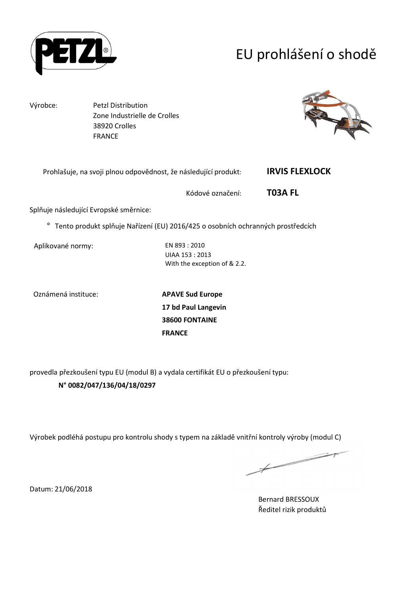

# EU prohlášení o shodě

Výrobce: Petzl Distribution Zone Industrielle de Crolles 38920 Crolles FRANCE



| Prohlašuje, na svoji plnou odpovědnost, že následující produkt: | <b>IRVIS FLEXLOCK</b> |
|-----------------------------------------------------------------|-----------------------|
|-----------------------------------------------------------------|-----------------------|

Kódové označení: **T03A FL**

Splňuje následující Evropské směrnice:

° Tento produkt splňuje Nařízení (EU) 2016/425 o osobních ochranných prostředcích

Aplikované normy: EN 893 : 2010

UIAA 153 : 2013 With the exception of & 2.2.

Oznámená instituce: **APAVE Sud Europe**

**17 bd Paul Langevin 38600 FONTAINE FRANCE**

provedla přezkoušení typu EU (modul B) a vydala certifikát EU o přezkoušení typu:

### **N° 0082/047/136/04/18/0297**

Výrobek podléhá postupu pro kontrolu shody s typem na základě vnitřní kontroly výroby (modul C)

 $\not\ightharpoondown$ 

Datum: 21/06/2018

Bernard BRESSOUX Ředitel rizik produktů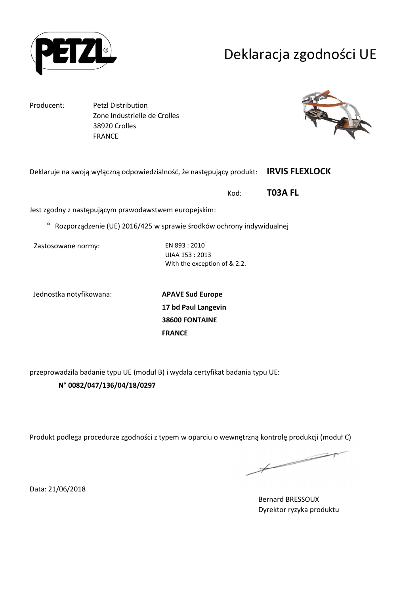

## Deklaracja zgodności UE

Producent: Petzl Distribution Zone Industrielle de Crolles 38920 Crolles FRANCE



Deklaruje na swoją wyłączną odpowiedzialność, że następujący produkt: **IRVIS FLEXLOCK** 

Kod: **T03A FL**

Jest zgodny z następującym prawodawstwem europejskim:

° Rozporządzenie (UE) 2016/425 w sprawie środków ochrony indywidualnej

Zastosowane normy: EN 893 : 2010

UIAA 153 : 2013 With the exception of & 2.2.

Jednostka notyfikowana: **APAVE Sud Europe**

**17 bd Paul Langevin 38600 FONTAINE FRANCE**

przeprowadziła badanie typu UE (moduł B) i wydała certyfikat badania typu UE:

### **N° 0082/047/136/04/18/0297**

Produkt podlega procedurze zgodności z typem w oparciu o wewnętrzną kontrolę produkcji (moduł C)

 $\neq$ 

Data: 21/06/2018

Bernard BRESSOUX Dyrektor ryzyka produktu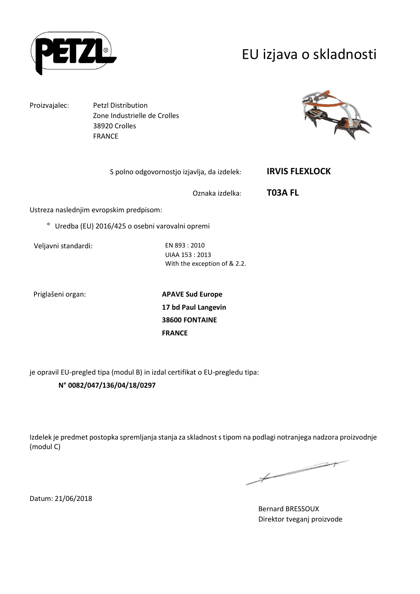

## EU izjava o skladnosti

Proizvajalec: Petzl Distribution

 Zone Industrielle de Crolles 38920 Crolles FRANCE



|                                                           | S polno odgovornostjo izjavlja, da izdelek: | <b>IRVIS FLEXLOCK</b> |
|-----------------------------------------------------------|---------------------------------------------|-----------------------|
|                                                           | Oznaka izdelka:                             | T03A FL               |
| Ustreza naslednjim evropskim predpisom:                   |                                             |                       |
| $\circ$<br>Uredba (EU) 2016/425 o osebni varovalni opremi |                                             |                       |
| Veljavni standardi:                                       | EN 893 : 2010<br>UIAA 153 : 2013            |                       |
|                                                           | With the exception of & 2.2.                |                       |

Priglašeni organ: **APAVE Sud Europe 17 bd Paul Langevin 38600 FONTAINE FRANCE**

je opravil EU-pregled tipa (modul B) in izdal certifikat o EU-pregledu tipa:

### **N° 0082/047/136/04/18/0297**

Izdelek je predmet postopka spremljanja stanja za skladnost s tipom na podlagi notranjega nadzora proizvodnje (modul C)

 $\overbrace{\phantom{aaaaa}}$ 

Bernard BRESSOUX Direktor tveganj proizvode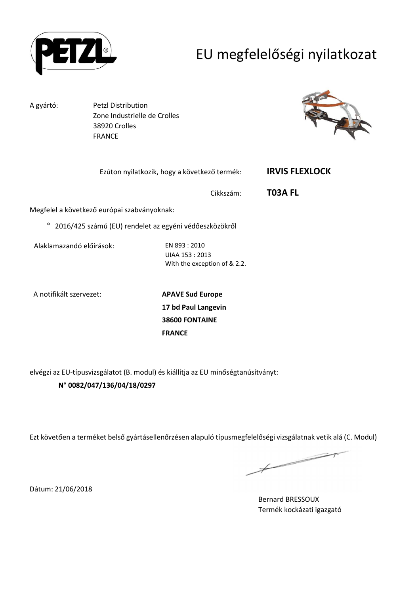

## EU megfelelőségi nyilatkozat

A gyártó: Petzl Distribution Zone Industrielle de Crolles 38920 Crolles FRANCE



|                                             | Ezúton nyilatkozik, hogy a következő termék:                   | <b>IRVIS FLEXLOCK</b> |
|---------------------------------------------|----------------------------------------------------------------|-----------------------|
|                                             | Cikkszám:                                                      | T03A FL               |
| Megfelel a következő európai szabványoknak: |                                                                |                       |
| $\circ$                                     | 2016/425 számú (EU) rendelet az egyéni védőeszközökről         |                       |
| Alaklamazandó előírások:                    | EN 893:2010<br>UIAA 153 : 2013<br>With the exception of & 2.2. |                       |

A notifikált szervezet: **APAVE Sud Europe**

**17 bd Paul Langevin 38600 FONTAINE FRANCE**

elvégzi az EU-típusvizsgálatot (B. modul) és kiállítja az EU minőségtanúsítványt:

### **N° 0082/047/136/04/18/0297**

Ezt követően a terméket belső gyártásellenőrzésen alapuló típusmegfelelőségi vizsgálatnak vetik alá (C. Modul)

 $\neq$ 

Dátum: 21/06/2018

Bernard BRESSOUX Termék kockázati igazgató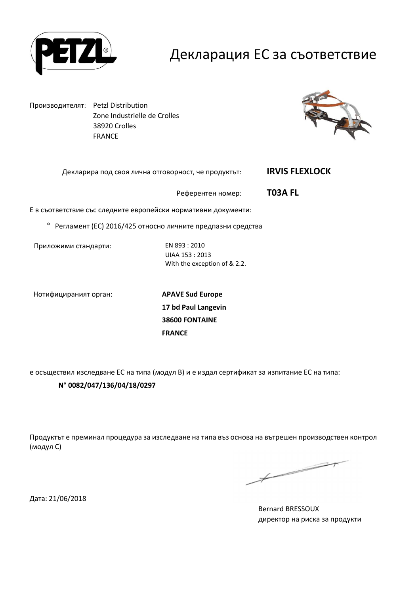

### Декларация ЕС за съответствие

Производителят: Petzl Distribution Zone Industrielle de Crolles 38920 Crolles FRANCE



| Декларира под своя лична отговорност, че продуктът: | <b>IRVIS FLEXLOCK</b> |
|-----------------------------------------------------|-----------------------|
| Референтен номер:                                   | T03A FL               |

Е в съответствие със следните европейски нормативни документи:

° Регламент (ЕС) 2016/425 относно личните предпазни средства

Приложими стандарти: EN 893 : 2010

UIAA 153 : 2013 With the exception of & 2.2.

Нотифицираният орган: **APAVE Sud Europe**

**17 bd Paul Langevin 38600 FONTAINE FRANCE**

е осъществил изследване ЕС на типа (модул В) и е издал сертификат за изпитание ЕС на типа:

### **N° 0082/047/136/04/18/0297**

Продуктът е преминал процедура за изследване на типа въз основа на вътрешен производствен контрол (модул С)

 $\overbrace{\phantom{aaaaa}}^{x}$ 

Дата: 21/06/2018

Bernard BRESSOUX директор на риска за продукти